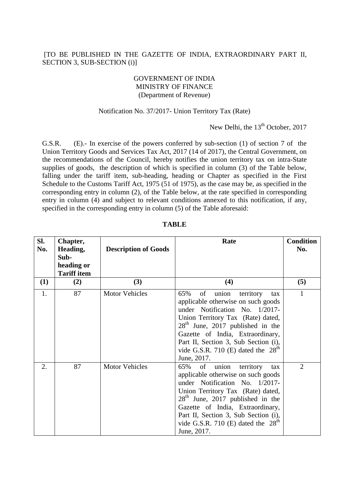# [TO BE PUBLISHED IN THE GAZETTE OF INDIA, EXTRAORDINARY PART II, SECTION 3, SUB-SECTION (i)]

### GOVERNMENT OF INDIA MINISTRY OF FINANCE (Department of Revenue)

#### Notification No. 37/2017- Union Territory Tax (Rate)

New Delhi, the 13<sup>th</sup> October, 2017

G.S.R. (E).- In exercise of the powers conferred by sub-section (1) of section 7 of the Union Territory Goods and Services Tax Act, 2017 (14 of 2017), the Central Government, on the recommendations of the Council, hereby notifies the union territory tax on intra-State supplies of goods, the description of which is specified in column (3) of the Table below, falling under the tariff item, sub-heading, heading or Chapter as specified in the First Schedule to the Customs Tariff Act, 1975 (51 of 1975), as the case may be, as specified in the corresponding entry in column (2), of the Table below, at the rate specified in corresponding entry in column (4) and subject to relevant conditions annexed to this notification, if any, specified in the corresponding entry in column (5) of the Table aforesaid:

| SI.<br>No. | Chapter,<br>Heading,<br>Sub-<br>heading or<br><b>Tariff item</b> | <b>Description of Goods</b> | Rate                                                                                                                                                                                                                                                                                                                         | <b>Condition</b><br>No. |
|------------|------------------------------------------------------------------|-----------------------------|------------------------------------------------------------------------------------------------------------------------------------------------------------------------------------------------------------------------------------------------------------------------------------------------------------------------------|-------------------------|
| (1)        | (2)                                                              | (3)                         | (4)                                                                                                                                                                                                                                                                                                                          | (5)                     |
| 1.         | 87                                                               | <b>Motor Vehicles</b>       | 65%<br>of<br>union<br>territory<br>tax<br>applicable otherwise on such goods<br>under Notification No. 1/2017-<br>Union Territory Tax (Rate) dated,<br>$28th$ June, 2017 published in the<br>Gazette of India, Extraordinary,<br>Part II, Section 3, Sub Section (i),<br>vide G.S.R. 710 (E) dated the $28th$<br>June, 2017. | $\mathbf{1}$            |
| 2.         | 87                                                               | <b>Motor Vehicles</b>       | of<br>65%<br>union<br>territory<br>tax<br>applicable otherwise on such goods<br>under Notification No. 1/2017-<br>Union Territory Tax (Rate) dated,<br>$28th$ June, 2017 published in the<br>Gazette of India, Extraordinary,<br>Part II, Section 3, Sub Section (i),<br>vide G.S.R. 710 (E) dated the $28th$<br>June, 2017. | $\overline{2}$          |

# **TABLE**